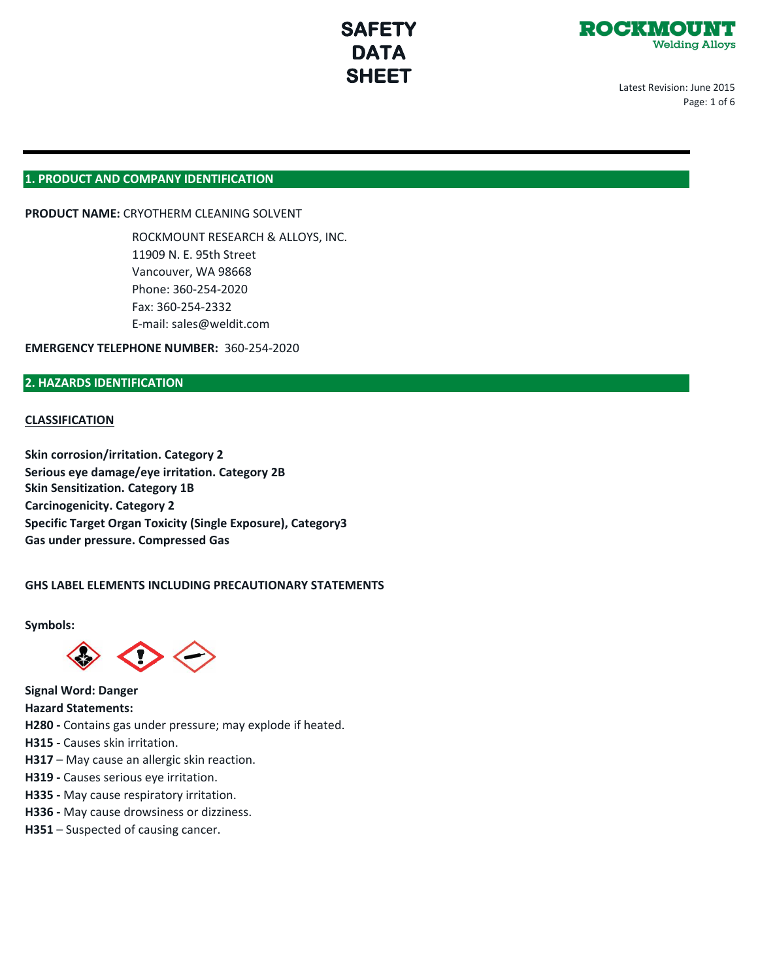



Latest Revision: June 2015 Page: 1 of 6

## **1. PRODUCT AND COMPANY IDENTIFICATION**

**PRODUCT NAME:** CRYOTHERM CLEANING SOLVENT

ROCKMOUNT RESEARCH & ALLOYS, INC. 11909 N. E. 95th Street Vancouver, WA 98668 Phone: 360-254-2020 Fax: 360-254-2332 E-mail: sales@weldit.com

**EMERGENCY TELEPHONE NUMBER:** 360-254-2020

### **2. HAZARDS IDENTIFICATION**

#### **CLASSIFICATION**

**Skin Sensitization. Category 1B Carcinogenicity. Category 2 Specific Target Organ Toxicity (Single Exposure), Category3 Gas under pressure. Compressed Gas Skin corrosion/irritation. Category 2 Serious eye damage/eye irritation. Category 2B**

#### **GHS LABEL ELEMENTS INCLUDING PRECAUTIONARY STATEMENTS**

**Symbols:**



**Signal Word: Danger**

**Hazard Statements:**

**H280 -** Contains gas under pressure; may explode if heated.

**H315 -** Causes skin irritation.

- **H317**  May cause an allergic skin reaction.
- **H319** Causes serious eye irritation.
- **H335** May cause respiratory irritation.
- **H336** May cause drowsiness or dizziness.
- **H351**  Suspected of causing cancer.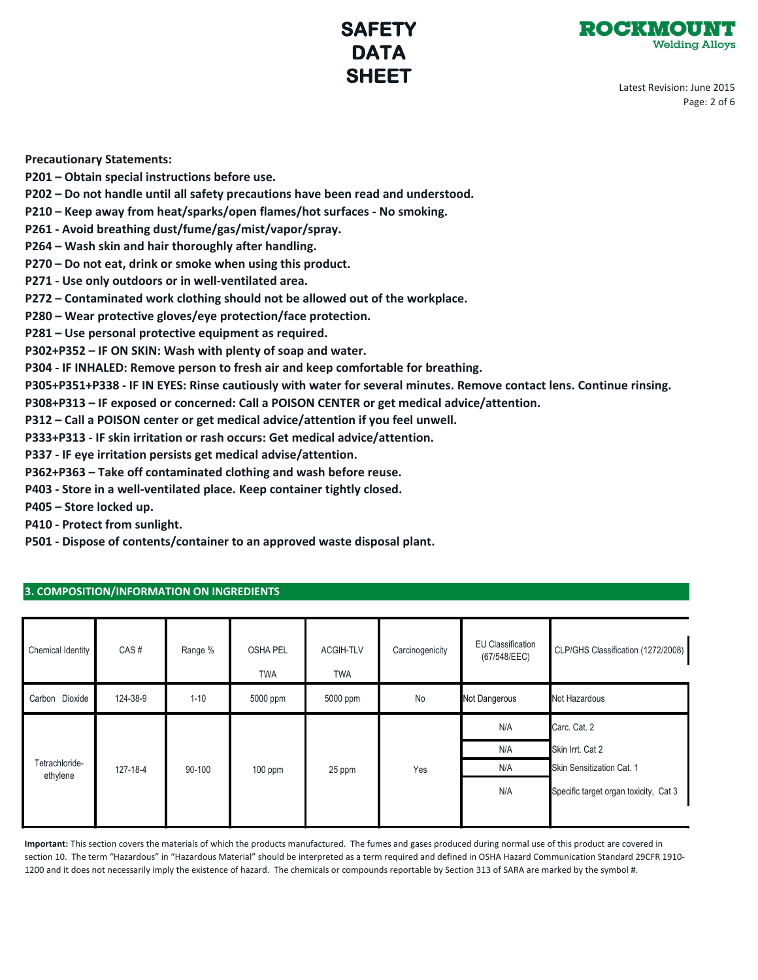

Latest Revision: June 2015 Page: 2 of 6

**Precautionary Statements:**

- **P201 Obtain special instructions before use.**
- **P202 Do not handle until all safety precautions have been read and understood.**
- **P210 Keep away from heat/sparks/open flames/hot surfaces No smoking.**
- **P261 Avoid breathing dust/fume/gas/mist/vapor/spray.**
- **P264 Wash skin and hair thoroughly after handling.**
- **P270 Do not eat, drink or smoke when using this product.**
- **P271 Use only outdoors or in well-ventilated area.**
- **P272 Contaminated work clothing should not be allowed out of the workplace.**
- **P280 Wear protective gloves/eye protection/face protection.**
- **P281 Use personal protective equipment as required.**
- **P302+P352 IF ON SKIN: Wash with plenty of soap and water.**
- **P304 IF INHALED: Remove person to fresh air and keep comfortable for breathing.**
- **P305+P351+P338 IF IN EYES: Rinse cautiously with water for several minutes. Remove contact lens. Continue rinsing.**
- **P308+P313 IF exposed or concerned: Call a POISON CENTER or get medical advice/attention.**
- **P312 Call a POISON center or get medical advice/attention if you feel unwell.**
- **P333+P313 IF skin irritation or rash occurs: Get medical advice/attention.**
- **P337 IF eye irritation persists get medical advise/attention.**
- **P362+P363 Take off contaminated clothing and wash before reuse.**
- **P403 Store in a well-ventilated place. Keep container tightly closed.**
- **P405 Store locked up.**
- **P410 Protect from sunlight.**
- **P501 Dispose of contents/container to an approved waste disposal plant.**

### **3. COMPOSITION/INFORMATION ON INGREDIENTS**

| Chemical Identity          | CAS#     | Range %  | <b>OSHA PEL</b><br><b>TWA</b> | ACGIH-TLV<br><b>TWA</b> | Carcinogenicity | EU Classification<br>(67/548/EEC) | CLP/GHS Classification (1272/2008)    |
|----------------------------|----------|----------|-------------------------------|-------------------------|-----------------|-----------------------------------|---------------------------------------|
| Carbon Dioxide             | 124-38-9 | $1 - 10$ | 5000 ppm                      | 5000 ppm                | No              | Not Dangerous                     | Not Hazardous                         |
|                            |          |          |                               |                         |                 | N/A                               | Carc. Cat. 2                          |
| Tetrachloride-<br>ethylene | 127-18-4 | 90-100   | 100 ppm                       | 25 ppm                  | Yes             | N/A                               | Skin Irrt. Cat 2                      |
|                            |          |          |                               |                         |                 | N/A                               | Skin Sensitization Cat. 1             |
|                            |          |          |                               |                         |                 | N/A                               | Specific target organ toxicity, Cat 3 |
|                            |          |          |                               |                         |                 |                                   |                                       |

**Important:** This section covers the materials of which the products manufactured. The fumes and gases produced during normal use of this product are covered in section 10. The term "Hazardous" in "Hazardous Material" should be interpreted as a term required and defined in OSHA Hazard Communication Standard 29CFR 1910- 1200 and it does not necessarily imply the existence of hazard. The chemicals or compounds reportable by Section 313 of SARA are marked by the symbol #.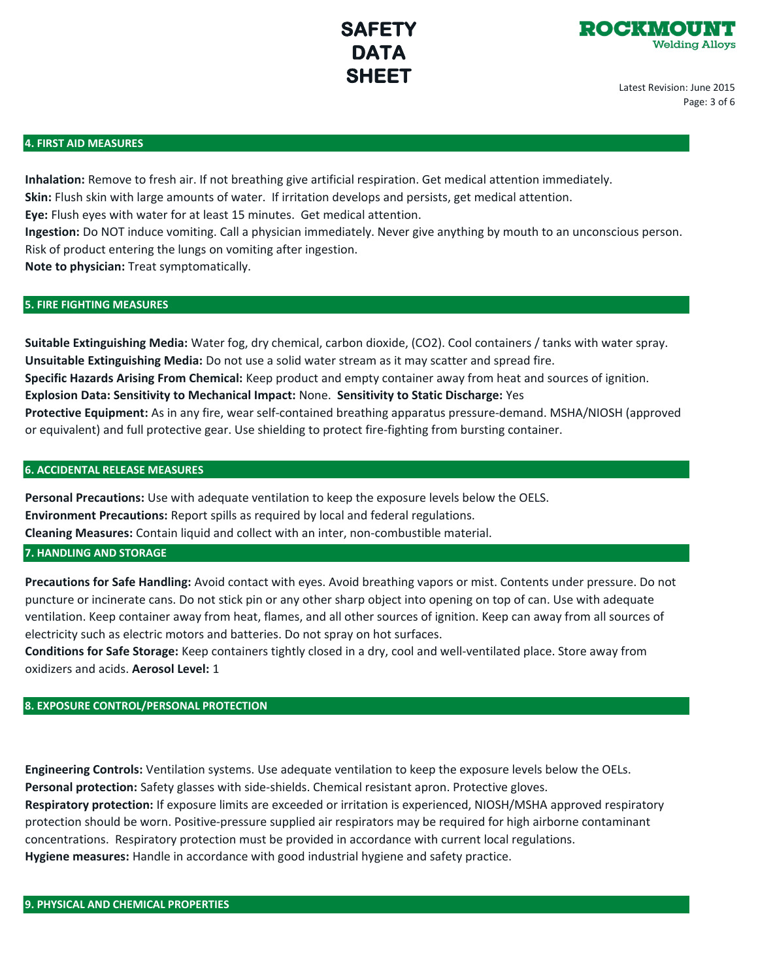

Latest Revision: June 2015 Page: 3 of 6

#### **4. FIRST AID MEASURES**

**Inhalation:** Remove to fresh air. If not breathing give artificial respiration. Get medical attention immediately. **Skin:** Flush skin with large amounts of water. If irritation develops and persists, get medical attention. **Eye:** Flush eyes with water for at least 15 minutes. Get medical attention.

**Ingestion:** Do NOT induce vomiting. Call a physician immediately. Never give anything by mouth to an unconscious person. Risk of product entering the lungs on vomiting after ingestion.

**Note to physician:** Treat symptomatically.

### **5. FIRE FIGHTING MEASURES**

**Suitable Extinguishing Media:** Water fog, dry chemical, carbon dioxide, (CO2). Cool containers / tanks with water spray. **Unsuitable Extinguishing Media:** Do not use a solid water stream as it may scatter and spread fire. **Specific Hazards Arising From Chemical:** Keep product and empty container away from heat and sources of ignition. **Explosion Data: Sensitivity to Mechanical Impact:** None. **Sensitivity to Static Discharge:** Yes **Protective Equipment:** As in any fire, wear self-contained breathing apparatus pressure-demand. MSHA/NIOSH (approved or equivalent) and full protective gear. Use shielding to protect fire-fighting from bursting container.

#### **6. ACCIDENTAL RELEASE MEASURES**

**Personal Precautions:** Use with adequate ventilation to keep the exposure levels below the OELS. **Environment Precautions:** Report spills as required by local and federal regulations. **Cleaning Measures:** Contain liquid and collect with an inter, non-combustible material.

### **7. HANDLING AND STORAGE**

**Precautions for Safe Handling:** Avoid contact with eyes. Avoid breathing vapors or mist. Contents under pressure. Do not puncture or incinerate cans. Do not stick pin or any other sharp object into opening on top of can. Use with adequate ventilation. Keep container away from heat, flames, and all other sources of ignition. Keep can away from all sources of electricity such as electric motors and batteries. Do not spray on hot surfaces.

**Conditions for Safe Storage:** Keep containers tightly closed in a dry, cool and well-ventilated place. Store away from oxidizers and acids. **Aerosol Level:** 1

### **8. EXPOSURE CONTROL/PERSONAL PROTECTION**

**Engineering Controls:** Ventilation systems. Use adequate ventilation to keep the exposure levels below the OELs. **Personal protection:** Safety glasses with side-shields. Chemical resistant apron. Protective gloves.

**Respiratory protection:** If exposure limits are exceeded or irritation is experienced, NIOSH/MSHA approved respiratory protection should be worn. Positive-pressure supplied air respirators may be required for high airborne contaminant concentrations. Respiratory protection must be provided in accordance with current local regulations. **Hygiene measures:** Handle in accordance with good industrial hygiene and safety practice.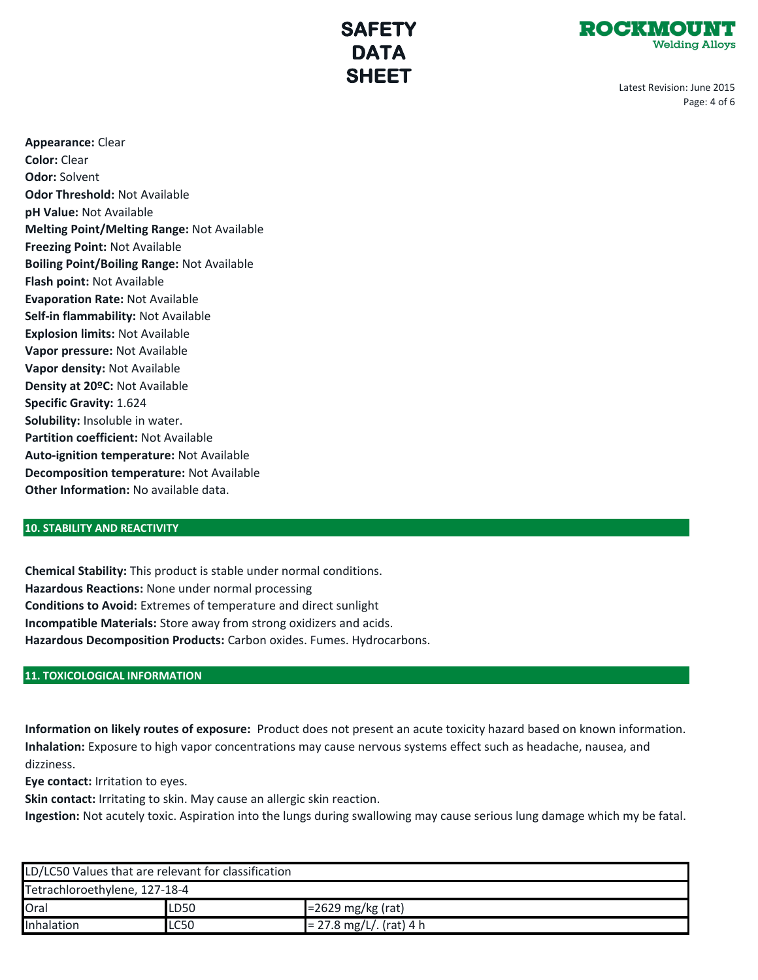

Latest Revision: June 2015 Page: 4 of 6

**Appearance:** Clear **Color:** Clear **Odor:** Solvent **Odor Threshold:** Not Available **pH Value:** Not Available **Melting Point/Melting Range:** Not Available **Freezing Point:** Not Available **Boiling Point/Boiling Range:** Not Available **Flash point:** Not Available **Evaporation Rate:** Not Available **Self-in flammability:** Not Available **Explosion limits:** Not Available **Vapor pressure:** Not Available **Vapor density:** Not Available **Density at 20ºC:** Not Available **Specific Gravity:** 1.624 **Solubility:** Insoluble in water. **Partition coefficient:** Not Available **Auto-ignition temperature:** Not Available **Decomposition temperature:** Not Available **Other Information:** No available data.

### **10. STABILITY AND REACTIVITY**

**Chemical Stability:** This product is stable under normal conditions. **Hazardous Reactions:** None under normal processing **Conditions to Avoid:** Extremes of temperature and direct sunlight **Incompatible Materials:** Store away from strong oxidizers and acids. **Hazardous Decomposition Products:** Carbon oxides. Fumes. Hydrocarbons.

### **11. TOXICOLOGICAL INFORMATION**

**Information on likely routes of exposure:** Product does not present an acute toxicity hazard based on known information. **Inhalation:** Exposure to high vapor concentrations may cause nervous systems effect such as headache, nausea, and dizziness.

**Eye contact:** Irritation to eyes.

**Skin contact:** Irritating to skin. May cause an allergic skin reaction.

**Ingestion:** Not acutely toxic. Aspiration into the lungs during swallowing may cause serious lung damage which my be fatal.

| LD/LC50 Values that are relevant for classification |             |                           |  |  |  |  |
|-----------------------------------------------------|-------------|---------------------------|--|--|--|--|
| Tetrachloroethylene, 127-18-4                       |             |                           |  |  |  |  |
| Oral                                                | LD50        | $=2629$ mg/kg (rat)       |  |  |  |  |
| Inhalation                                          | <b>LC50</b> | $= 27.8$ mg/L/. (rat) 4 h |  |  |  |  |
|                                                     |             |                           |  |  |  |  |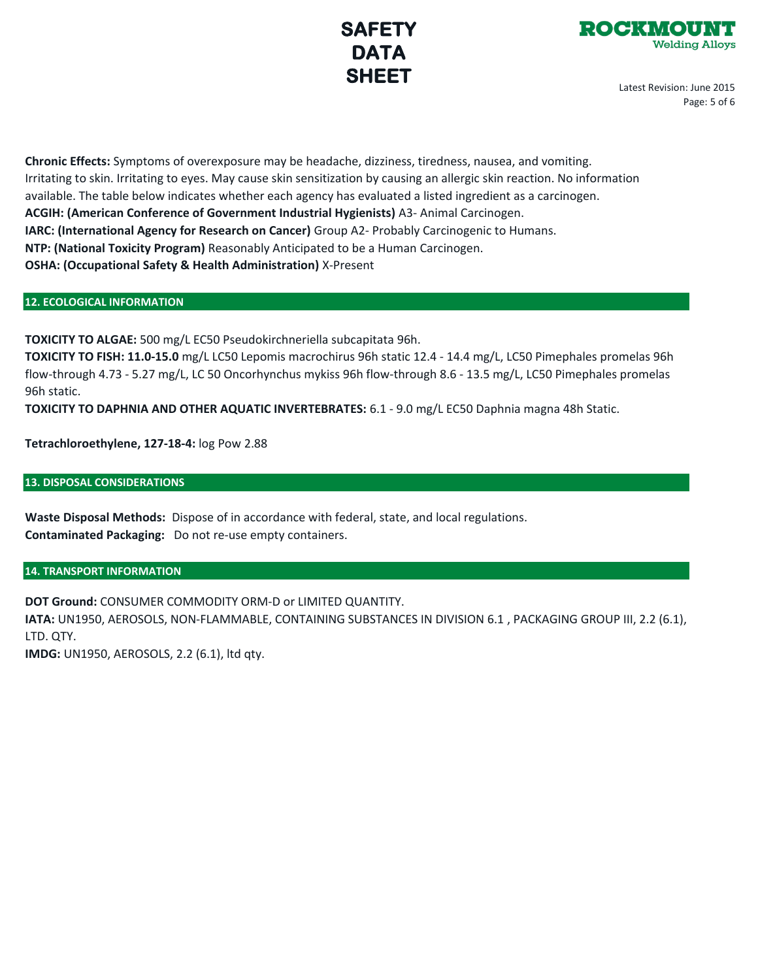

Latest Revision: June 2015 Page: 5 of 6

**Chronic Effects:** Symptoms of overexposure may be headache, dizziness, tiredness, nausea, and vomiting. Irritating to skin. Irritating to eyes. May cause skin sensitization by causing an allergic skin reaction. No information available. The table below indicates whether each agency has evaluated a listed ingredient as a carcinogen. **ACGIH: (American Conference of Government Industrial Hygienists)** A3- Animal Carcinogen. **IARC: (International Agency for Research on Cancer)** Group A2- Probably Carcinogenic to Humans. **NTP: (National Toxicity Program)** Reasonably Anticipated to be a Human Carcinogen. **OSHA: (Occupational Safety & Health Administration)** X-Present

## **12. ECOLOGICAL INFORMATION**

**TOXICITY TO ALGAE:** 500 mg/L EC50 Pseudokirchneriella subcapitata 96h.

**TOXICITY TO FISH: 11.0-15.0** mg/L LC50 Lepomis macrochirus 96h static 12.4 - 14.4 mg/L, LC50 Pimephales promelas 96h flow-through 4.73 - 5.27 mg/L, LC 50 Oncorhynchus mykiss 96h flow-through 8.6 - 13.5 mg/L, LC50 Pimephales promelas 96h static.

**TOXICITY TO DAPHNIA AND OTHER AQUATIC INVERTEBRATES:** 6.1 - 9.0 mg/L EC50 Daphnia magna 48h Static.

**Tetrachloroethylene, 127-18-4:** log Pow 2.88

### **13. DISPOSAL CONSIDERATIONS**

**Waste Disposal Methods:** Dispose of in accordance with federal, state, and local regulations. **Contaminated Packaging:** Do not re-use empty containers.

## **14. TRANSPORT INFORMATION**

**DOT Ground:** CONSUMER COMMODITY ORM-D or LIMITED QUANTITY.

**IATA:** UN1950, AEROSOLS, NON-FLAMMABLE, CONTAINING SUBSTANCES IN DIVISION 6.1 , PACKAGING GROUP III, 2.2 (6.1), LTD. QTY.

**IMDG:** UN1950, AEROSOLS, 2.2 (6.1), ltd qty.